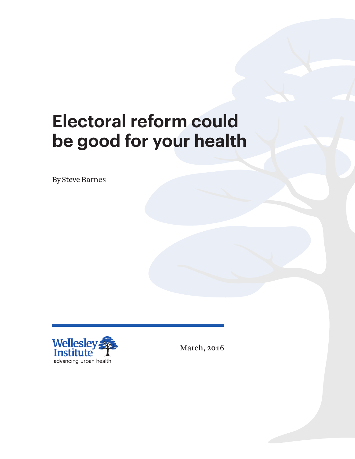# **Electoral reform could be good for your health**

By Steve Barnes



March, 2016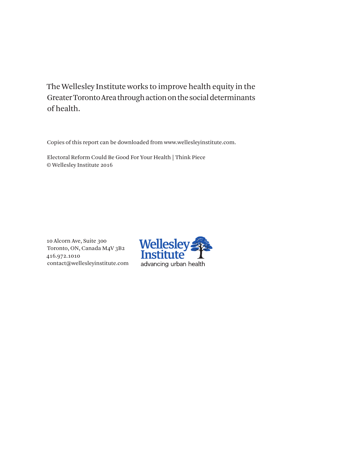The Wellesley Institute works to improve health equity in the Greater Toronto Area through action on the social determinants of health.

Copies of this report can be downloaded from www.wellesleyinstitute.com.

Electoral Reform Could Be Good For Your Health | Think Piece © Wellesley Institute 2016

10 Alcorn Ave, Suite 300 Toronto, ON, Canada M4V 3B2 416.972.1010 contact@wellesleyinstitute.com

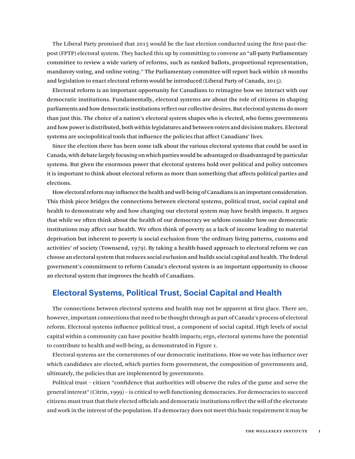The Liberal Party promised that 2015 would be the last election conducted using the first-past-thepost (FPTP) electoral system. They backed this up by committing to convene an "all-party Parliamentary committee to review a wide variety of reforms, such as ranked ballots, proportional representation, mandatory voting, and online voting." The Parliamentary committee will report back within 18 months and legislation to enact electoral reform would be introduced (Liberal Party of Canada, 2015).

Electoral reform is an important opportunity for Canadians to reimagine how we interact with our democratic institutions. Fundamentally, electoral systems are about the role of citizens in shaping parliaments and how democratic institutions reflect our collective desires. But electoral systems do more than just this. The choice of a nation's electoral system shapes who is elected, who forms governments and how power is distributed, both within legislatures and between voters and decision makers. Electoral systems are sociopolitical tools that influence the policies that affect Canadians' lives.

Since the election there has been some talk about the various electoral systems that could be used in Canada, with debate largely focusing on which parties would be advantaged or disadvantaged by particular systems. But given the enormous power that electoral systems hold over political and policy outcomes it is important to think about electoral reform as more than something that affects political parties and elections.

How electoral reform may influence the health and well-being of Canadians is an important consideration. This think piece bridges the connections between electoral systems, political trust, social capital and health to demonstrate why and how changing our electoral system may have health impacts. It argues that while we often think about the health of our democracy we seldom consider how our democratic institutions may affect our health. We often think of poverty as a lack of income leading to material deprivation but inherent to poverty is social exclusion from 'the ordinary living patterns, customs and activities' of society (Townsend, 1979). By taking a health-based approach to electoral reform we can choose an electoral system that reduces social exclusion and builds social capital and health. The federal government's commitment to reform Canada's electoral system is an important opportunity to choose an electoral system that improves the health of Canadians.

## **Electoral Systems, Political Trust, Social Capital and Health**

The connections between electoral systems and health may not be apparent at first glace. There are, however, important connections that need to be thought through as part of Canada's process of electoral reform. Electoral systems influence political trust, a component of social capital. High levels of social capital within a community can have positive health impacts; ergo, electoral systems have the potential to contribute to health and well-being, as demonstrated in Figure 1.

Electoral systems are the cornerstones of our democratic institutions. How we vote has influence over which candidates are elected, which parties form government, the composition of governments and, ultimately, the policies that are implemented by governments.

Political trust – citizen "confidence that authorities will observe the rules of the game and serve the general interest" (Citrin, 1999) – is critical to well-functioning democracies. For democracies to succeed citizens must trust that their elected officials and democratic institutions reflect the will of the electorate and work in the interest of the population. If a democracy does not meet this basic requirement it may be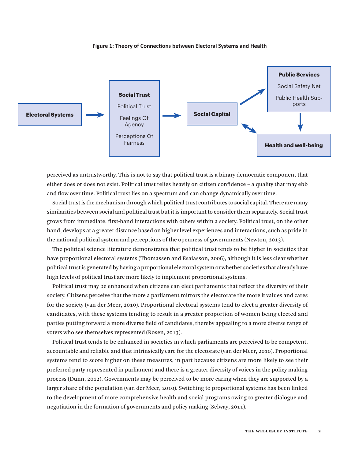

#### **Figure 1: Theory of Connections between Electoral Systems and Health**

perceived as untrustworthy. This is not to say that political trust is a binary democratic component that either does or does not exist. Political trust relies heavily on citizen confidence – a quality that may ebb and flow over time. Political trust lies on a spectrum and can change dynamically over time.

Social trust is the mechanism through which political trust contributes to social capital. There are many similarities between social and political trust but it is important to consider them separately. Social trust grows from immediate, first-hand interactions with others within a society. Political trust, on the other hand, develops at a greater distance based on higher level experiences and interactions, such as pride in the national political system and perceptions of the openness of governments (Newton, 2013).

The political science literature demonstrates that political trust tends to be higher in societies that have proportional electoral systems (Thomassen and Esaiasson, 2006), although it is less clear whether political trust is generated by having a proportional electoral system or whether societies that already have high levels of political trust are more likely to implement proportional systems.

Political trust may be enhanced when citizens can elect parliaments that reflect the diversity of their society. Citizens perceive that the more a parliament mirrors the electorate the more it values and cares for the society (van der Meer, 2010). Proportional electoral systems tend to elect a greater diversity of candidates, with these systems tending to result in a greater proportion of women being elected and parties putting forward a more diverse field of candidates, thereby appealing to a more diverse range of voters who see themselves represented (Rosen, 2013).

Political trust tends to be enhanced in societies in which parliaments are perceived to be competent, accountable and reliable and that intrinsically care for the electorate (van der Meer, 2010). Proportional systems tend to score higher on these measures, in part because citizens are more likely to see their preferred party represented in parliament and there is a greater diversity of voices in the policy making process (Dunn, 2012). Governments may be perceived to be more caring when they are supported by a larger share of the population (van der Meer, 2010). Switching to proportional systems has been linked to the development of more comprehensive health and social programs owing to greater dialogue and negotiation in the formation of governments and policy making (Selway, 2011).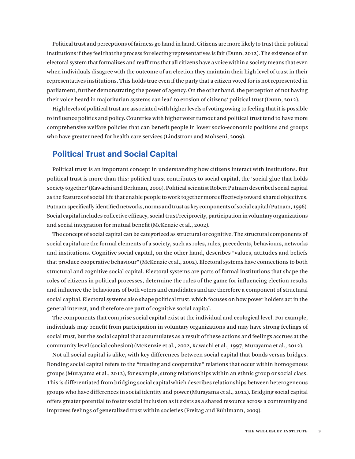Political trust and perceptions of fairness go hand in hand. Citizens are more likely to trust their political institutions if they feel that the process for electing representatives is fair (Dunn, 2012). The existence of an electoral system that formalizes and reaffirms that all citizens have a voice within a society means that even when individuals disagree with the outcome of an election they maintain their high level of trust in their representatives institutions. This holds true even if the party that a citizen voted for is not represented in parliament, further demonstrating the power of agency. On the other hand, the perception of not having their voice heard in majoritarian systems can lead to erosion of citizens' political trust (Dunn, 2012).

High levels of political trust are associated with higher levels of voting owing to feeling that it is possible to influence politics and policy. Countries with higher voter turnout and political trust tend to have more comprehensive welfare policies that can benefit people in lower socio-economic positions and groups who have greater need for health care services (Lindstrom and Mohseni, 2009).

# **Political Trust and Social Capital**

Political trust is an important concept in understanding how citizens interact with institutions. But political trust is more than this: political trust contributes to social capital, the 'social glue that holds society together' (Kawachi and Berkman, 2000). Political scientist Robert Putnam described social capital as the features of social life that enable people to work together more effectively toward shared objectives. Putnam specifically identified networks, norms and trust as key components of social capital (Putnam, 1996). Social capital includes collective efficacy, social trust/reciprocity, participation in voluntary organizations and social integration for mutual benefit (McKenzie et al., 2002).

The concept of social capital can be categorized as structural or cognitive. The structural components of social capital are the formal elements of a society, such as roles, rules, precedents, behaviours, networks and institutions. Cognitive social capital, on the other hand, describes "values, attitudes and beliefs that produce cooperative behaviour" (McKenzie et al., 2002). Electoral systems have connections to both structural and cognitive social capital. Electoral systems are parts of formal institutions that shape the roles of citizens in political processes, determine the rules of the game for influencing election results and influence the behaviours of both voters and candidates and are therefore a component of structural social capital. Electoral systems also shape political trust, which focuses on how power holders act in the general interest, and therefore are part of cognitive social capital.

The components that comprise social capital exist at the individual and ecological level. For example, individuals may benefit from participation in voluntary organizations and may have strong feelings of social trust, but the social capital that accumulates as a result of these actions and feelings accrues at the community level (social cohesion) (McKenzie et al., 2002, Kawachi et al., 1997, Murayama et al., 2012).

Not all social capital is alike, with key differences between social capital that bonds versus bridges. Bonding social capital refers to the "trusting and cooperative" relations that occur within homogenous groups (Murayama et al., 2012), for example, strong relationships within an ethnic group or social class. This is differentiated from bridging social capital which describes relationships between heterogeneous groups who have differences in social identity and power (Murayama et al., 2012). Bridging social capital offers greater potential to foster social inclusion as it exists as a shared resource across a community and improves feelings of generalized trust within societies (Freitag and Bühlmann, 2009).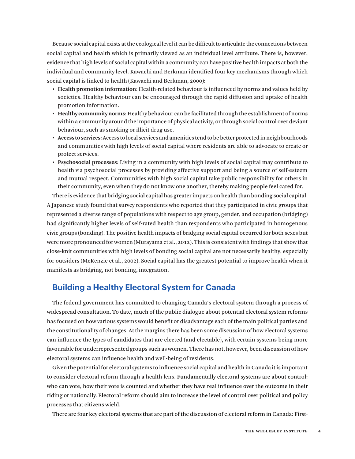Because social capital exists at the ecological level it can be difficult to articulate the connections between social capital and health which is primarily viewed as an individual level attribute. There is, however, evidence that high levels of social capital within a community can have positive health impacts at both the individual and community level. Kawachi and Berkman identified four key mechanisms through which social capital is linked to health (Kawachi and Berkman, 2000):

- **• Health promotion information**: Health-related behaviour is influenced by norms and values held by societies. Healthy behaviour can be encouraged through the rapid diffusion and uptake of health promotion information.
- **• Healthy community norms**: Healthy behaviour can be facilitated through the establishment of norms within a community around the importance of physical activity, or through social control over deviant behaviour, such as smoking or illicit drug use.
- **• Access to services**: Access to local services and amenities tend to be better protected in neighbourhoods and communities with high levels of social capital where residents are able to advocate to create or protect services.
- **• Psychosocial processes**: Living in a community with high levels of social capital may contribute to health via psychosocial processes by providing affective support and being a source of self-esteem and mutual respect. Communities with high social capital take public responsibility for others in their community, even when they do not know one another, thereby making people feel cared for.

There is evidence that bridging social capital has greater impacts on health than bonding social capital. A Japanese study found that survey respondents who reported that they participated in civic groups that represented a diverse range of populations with respect to age group, gender, and occupation (bridging) had significantly higher levels of self-rated health than respondents who participated in homogenous civic groups (bonding). The positive health impacts of bridging social capital occurred for both sexes but were more pronounced for women (Murayama et al., 2012). This is consistent with findings that show that close-knit communities with high levels of bonding social capital are not necessarily healthy, especially for outsiders (McKenzie et al., 2002). Social capital has the greatest potential to improve health when it manifests as bridging, not bonding, integration.

## **Building a Healthy Electoral System for Canada**

The federal government has committed to changing Canada's electoral system through a process of widespread consultation. To date, much of the public dialogue about potential electoral system reforms has focused on how various systems would benefit or disadvantage each of the main political parties and the constitutionality of changes. At the margins there has been some discussion of how electoral systems can influence the types of candidates that are elected (and electable), with certain systems being more favourable for underrepresented groups such as women. There has not, however, been discussion of how electoral systems can influence health and well-being of residents.

Given the potential for electoral systems to influence social capital and health in Canada it is important to consider electoral reform through a health lens. Fundamentally electoral systems are about control: who can vote, how their vote is counted and whether they have real influence over the outcome in their riding or nationally. Electoral reform should aim to increase the level of control over political and policy processes that citizens wield.

There are four key electoral systems that are part of the discussion of electoral reform in Canada: First-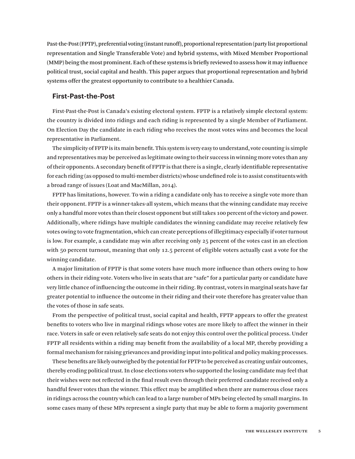Past-the-Post (FPTP), preferential voting (instant runoff), proportional representation (party list proportional representation and Single Transferable Vote) and hybrid systems, with Mixed Member Proportional (MMP) being the most prominent. Each of these systems is briefly reviewed to assess how it may influence political trust, social capital and health. This paper argues that proportional representation and hybrid systems offer the greatest opportunity to contribute to a healthier Canada.

#### **First-Past-the-Post**

First-Past-the-Post is Canada's existing electoral system. FPTP is a relatively simple electoral system: the country is divided into ridings and each riding is represented by a single Member of Parliament. On Election Day the candidate in each riding who receives the most votes wins and becomes the local representative in Parliament.

The simplicity of FPTP is its main benefit. This system is very easy to understand, vote counting is simple and representatives may be perceived as legitimate owing to their success in winning more votes than any of their opponents. A secondary benefit of FPTP is that there is a single, clearly identifiable representative for each riding (as opposed to multi-member districts) whose undefined role is to assist constituents with a broad range of issues (Loat and MacMillan, 2014).

FPTP has limitations, however. To win a riding a candidate only has to receive a single vote more than their opponent. FPTP is a winner-takes-all system, which means that the winning candidate may receive only a handful more votes than their closest opponent but still takes 100 percent of the victory and power. Additionally, where ridings have multiple candidates the winning candidate may receive relatively few votes owing to vote fragmentation, which can create perceptions of illegitimacy especially if voter turnout is low. For example, a candidate may win after receiving only 25 percent of the votes cast in an election with 50 percent turnout, meaning that only 12.5 percent of eligible voters actually cast a vote for the winning candidate.

A major limitation of FPTP is that some voters have much more influence than others owing to how others in their riding vote. Voters who live in seats that are "safe" for a particular party or candidate have very little chance of influencing the outcome in their riding. By contrast, voters in marginal seats have far greater potential to influence the outcome in their riding and their vote therefore has greater value than the votes of those in safe seats.

From the perspective of political trust, social capital and health, FPTP appears to offer the greatest benefits to voters who live in marginal ridings whose votes are more likely to affect the winner in their race. Voters in safe or even relatively safe seats do not enjoy this control over the political process. Under FPTP all residents within a riding may benefit from the availability of a local MP, thereby providing a formal mechanism for raising grievances and providing input into political and policy making processes.

These benefits are likely outweighed by the potential for FPTP to be perceived as creating unfair outcomes, thereby eroding political trust. In close elections voters who supported the losing candidate may feel that their wishes were not reflected in the final result even through their preferred candidate received only a handful fewer votes than the winner. This effect may be amplified when there are numerous close races in ridings across the country which can lead to a large number of MPs being elected by small margins. In some cases many of these MPs represent a single party that may be able to form a majority government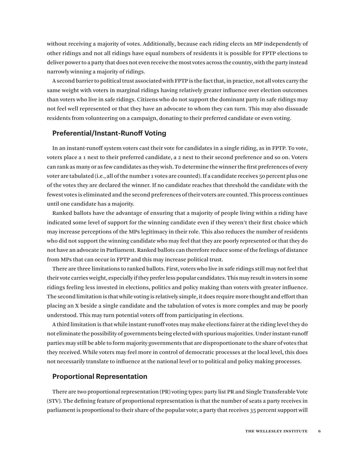without receiving a majority of votes. Additionally, because each riding elects an MP independently of other ridings and not all ridings have equal numbers of residents it is possible for FPTP elections to deliver power to a party that does not even receive the most votes across the country, with the party instead narrowly winning a majority of ridings.

A second barrier to political trust associated with FPTP is the fact that, in practice, not all votes carry the same weight with voters in marginal ridings having relatively greater influence over election outcomes than voters who live in safe ridings. Citizens who do not support the dominant party in safe ridings may not feel well represented or that they have an advocate to whom they can turn. This may also dissuade residents from volunteering on a campaign, donating to their preferred candidate or even voting.

### **Preferential/Instant-Runoff Voting**

In an instant-runoff system voters cast their vote for candidates in a single riding, as in FPTP. To vote, voters place a 1 next to their preferred candidate, a 2 next to their second preference and so on. Voters can rank as many or as few candidates as they wish. To determine the winner the first preferences of every voter are tabulated (i.e., all of the number 1 votes are counted). If a candidate receives 50 percent plus one of the votes they are declared the winner. If no candidate reaches that threshold the candidate with the fewest votes is eliminated and the second preferences of their voters are counted. This process continues until one candidate has a majority.

Ranked ballots have the advantage of ensuring that a majority of people living within a riding have indicated some level of support for the winning candidate even if they weren't their first choice which may increase perceptions of the MPs legitimacy in their role. This also reduces the number of residents who did not support the winning candidate who may feel that they are poorly represented or that they do not have an advocate in Parliament. Ranked ballots can therefore reduce some of the feelings of distance from MPs that can occur in FPTP and this may increase political trust.

There are three limitations to ranked ballots. First, voters who live in safe ridings still may not feel that their vote carries weight, especially if they prefer less popular candidates. This may result in voters in some ridings feeling less invested in elections, politics and policy making than voters with greater influence. The second limitation is that while voting is relatively simple, it does require more thought and effort than placing an X beside a single candidate and the tabulation of votes is more complex and may be poorly understood. This may turn potential voters off from participating in elections.

A third limitation is that while instant-runoff votes may make elections fairer at the riding level they do not eliminate the possibility of governments being elected with spurious majorities. Under instant-runoff parties may still be able to form majority governments that are disproportionate to the share of votes that they received. While voters may feel more in control of democratic processes at the local level, this does not necessarily translate to influence at the national level or to political and policy making processes.

#### **Proportional Representation**

There are two proportional representation (PR) voting types: party list PR and Single Transferable Vote (STV). The defining feature of proportional representation is that the number of seats a party receives in parliament is proportional to their share of the popular vote; a party that receives 35 percent support will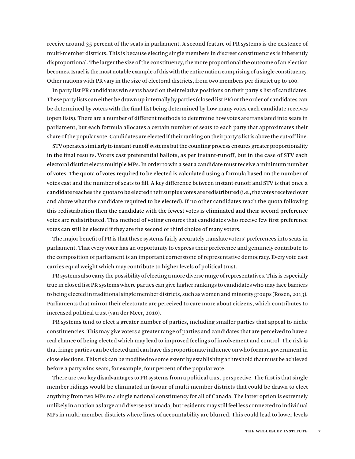receive around 35 percent of the seats in parliament. A second feature of PR systems is the existence of multi-member districts. This is because electing single members in discreet constituencies is inherently disproportional. The larger the size of the constituency, the more proportional the outcome of an election becomes. Israel is the most notable example of this with the entire nation comprising of a single constituency. Other nations with PR vary in the size of electoral districts, from two members per district up to 100.

In party list PR candidates win seats based on their relative positions on their party's list of candidates. These party lists can either be drawn up internally by parties (closed list PR) or the order of candidates can be determined by voters with the final list being determined by how many votes each candidate receives (open lists). There are a number of different methods to determine how votes are translated into seats in parliament, but each formula allocates a certain number of seats to each party that approximates their share of the popular vote. Candidates are elected if their ranking on their party's list is above the cut-off line.

STV operates similarly to instant-runoff systems but the counting process ensures greater proportionality in the final results. Voters cast preferential ballots, as per instant-runoff, but in the case of STV each electoral district elects multiple MPs. In order to win a seat a candidate must receive a minimum number of votes. The quota of votes required to be elected is calculated using a formula based on the number of votes cast and the number of seats to fill. A key difference between instant-runoff and STV is that once a candidate reaches the quota to be elected their surplus votes are redistributed (i.e., the votes received over and above what the candidate required to be elected). If no other candidates reach the quota following this redistribution then the candidate with the fewest votes is eliminated and their second preference votes are redistributed. This method of voting ensures that candidates who receive few first preference votes can still be elected if they are the second or third choice of many voters.

The major benefit of PR is that these systems fairly accurately translate voters' preferences into seats in parliament. That every voter has an opportunity to express their preference and genuinely contribute to the composition of parliament is an important cornerstone of representative democracy. Every vote cast carries equal weight which may contribute to higher levels of political trust.

PR systems also carry the possibility of electing a more diverse range of representatives. This is especially true in closed list PR systems where parties can give higher rankings to candidates who may face barriers to being elected in traditional single member districts, such as women and minority groups (Rosen, 2013). Parliaments that mirror their electorate are perceived to care more about citizens, which contributes to increased political trust (van der Meer, 2010).

PR systems tend to elect a greater number of parties, including smaller parties that appeal to niche constituencies. This may give voters a greater range of parties and candidates that are perceived to have a real chance of being elected which may lead to improved feelings of involvement and control. The risk is that fringe parties can be elected and can have disproportionate influence on who forms a government in close elections. This risk can be modified to some extent by establishing a threshold that must be achieved before a party wins seats, for example, four percent of the popular vote.

There are two key disadvantages to PR systems from a political trust perspective. The first is that single member ridings would be eliminated in favour of multi-member districts that could be drawn to elect anything from two MPs to a single national constituency for all of Canada. The latter option is extremely unlikely in a nation as large and diverse as Canada, but residents may still feel less connected to individual MPs in multi-member districts where lines of accountability are blurred. This could lead to lower levels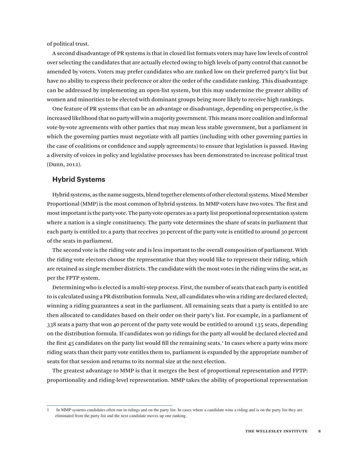of political trust.

A second disadvantage of PR systems is that in closed list formats voters may have low levels of control over selecting the candidates that are actually elected owing to high levels of party control that cannot be amended by voters. Voters may prefer candidates who are ranked low on their preferred party's list but have no ability to express their preference or alter the order of the candidate ranking. This disadvantage can be addressed by implementing an open-list system, but this may undermine the greater ability of women and minorities to be elected with dominant groups being more likely to receive high rankings.

One feature of PR systems that can be an advantage or disadvantage, depending on perspective, is the increased likelihood that no party will win a majority government. This means more coalition and informal vote-by-vote agreements with other parties that may mean less stable government, but a parliament in which the governing parties must negotiate with all parties (including with other governing parties in the case of coalitions or confidence and supply agreements) to ensure that legislation is passed. Having a diversity of voices in policy and legislative processes has been demonstrated to increase political trust (Dunn, 2012).

#### **Hybrid Systems**

Hybrid systems, as the name suggests, blend together elements of other electoral systems. Mixed Member Proportional (MMP) is the most common of hybrid systems. In MMP voters have two votes. The first and most important is the party vote. The party vote operates as a party list proportional representation system where a nation is a single constituency. The party vote determines the share of seats in parliament that each party is entitled to: a party that receives 30 percent of the party vote is entitled to around 30 percent of the seats in parliament.

The second vote is the riding vote and is less important to the overall composition of parliament. With the riding vote electors choose the representative that they would like to represent their riding, which are retained as single member districts. The candidate with the most votes in the riding wins the seat, as per the FPTP system.

Determining who is elected is a multi-step process. First, the number of seats that each party is entitled to is calculated using a PR distribution formula. Next, all candidates who win a riding are declared elected; winning a riding guarantees a seat in the parliament. All remaining seats that a party is entitled to are then allocated to candidates based on their order on their party's list. For example, in a parliament of 338 seats a party that won 40 percent of the party vote would be entitled to around 135 seats, depending on the distribution formula. If candidates won 90 ridings for the party all would be declared elected and the first 45 candidates on the party list would fill the remaining seats.<sup>1</sup> In cases where a party wins more riding seats than their party vote entitles them to, parliament is expanded by the appropriate number of seats for that session and returns to its normal size at the next election.

The greatest advantage to MMP is that it merges the best of proportional representation and FPTP: proportionality and riding-level representation. MMP takes the ability of proportional representation

<sup>1</sup> In MMP systems candidates often run in ridings and on the party list. In cases where a candidate wins a riding and is on the party list they are eliminated from the party list and the next candidate moves up one ranking.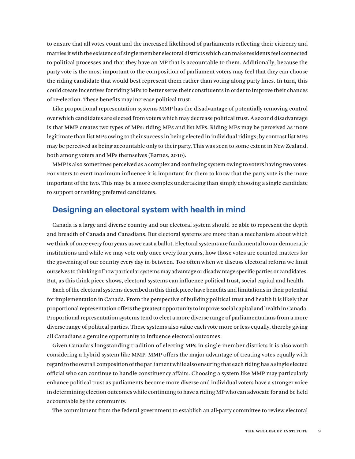to ensure that all votes count and the increased likelihood of parliaments reflecting their citizenry and marries it with the existence of single member electoral districts which can make residents feel connected to political processes and that they have an MP that is accountable to them. Additionally, because the party vote is the most important to the composition of parliament voters may feel that they can choose the riding candidate that would best represent them rather than voting along party lines. In turn, this could create incentives for riding MPs to better serve their constituents in order to improve their chances of re-election. These benefits may increase political trust.

Like proportional representation systems MMP has the disadvantage of potentially removing control over which candidates are elected from voters which may decrease political trust. A second disadvantage is that MMP creates two types of MPs: riding MPs and list MPs. Riding MPs may be perceived as more legitimate than list MPs owing to their success in being elected in individual ridings; by contrast list MPs may be perceived as being accountable only to their party. This was seen to some extent in New Zealand, both among voters and MPs themselves (Barnes, 2010).

MMP is also sometimes perceived as a complex and confusing system owing to voters having two votes. For voters to exert maximum influence it is important for them to know that the party vote is the more important of the two. This may be a more complex undertaking than simply choosing a single candidate to support or ranking preferred candidates.

# **Designing an electoral system with health in mind**

Canada is a large and diverse country and our electoral system should be able to represent the depth and breadth of Canada and Canadians. But electoral systems are more than a mechanism about which we think of once every four years as we cast a ballot. Electoral systems are fundamental to our democratic institutions and while we may vote only once every four years, how those votes are counted matters for the governing of our country every day in-between. Too often when we discuss electoral reform we limit ourselves to thinking of how particular systems may advantage or disadvantage specific parties or candidates. But, as this think piece shows, electoral systems can influence political trust, social capital and health.

Each of the electoral systems described in this think piece have benefits and limitations in their potential for implementation in Canada. From the perspective of building political trust and health it is likely that proportional representation offers the greatest opportunity to improve social capital and health in Canada. Proportional representation systems tend to elect a more diverse range of parliamentarians from a more diverse range of political parties. These systems also value each vote more or less equally, thereby giving all Canadians a genuine opportunity to influence electoral outcomes.

Given Canada's longstanding tradition of electing MPs in single member districts it is also worth considering a hybrid system like MMP. MMP offers the major advantage of treating votes equally with regard to the overall composition of the parliament while also ensuring that each riding has a single elected official who can continue to handle constituency affairs. Choosing a system like MMP may particularly enhance political trust as parliaments become more diverse and individual voters have a stronger voice in determining election outcomes while continuing to have a riding MP who can advocate for and be held accountable by the community.

The commitment from the federal government to establish an all-party committee to review electoral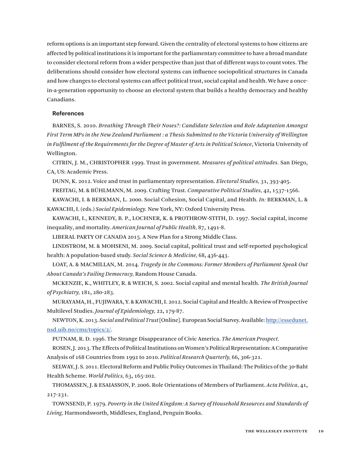reform options is an important step forward. Given the centrality of electoral systems to how citizens are affected by political institutions it is important for the parliamentary committee to have a broad mandate to consider electoral reform from a wider perspective than just that of different ways to count votes. The deliberations should consider how electoral systems can influence sociopolitical structures in Canada and how changes to electoral systems can affect political trust, social capital and health. We have a oncein-a-generation opportunity to choose an electoral system that builds a healthy democracy and healthy Canadians.

#### **References**

BARNES, S. 2010. *Breathing Through Their Noses?: Candidate Selection and Role Adaptation Amongst First Term MPs in the New Zealand Parliament : a Thesis Submitted to the Victoria University of Wellington in Fulfilment of the Requirements for the Degree of Master of Arts in Political Science*, Victoria University of Wellington.

CITRIN, J. M., CHRISTOPHER 1999. Trust in government. *Measures of political attitudes.* San Diego, CA, US: Academic Press.

DUNN, K. 2012. Voice and trust in parliamentary representation. *Electoral Studies,* 31**,** 393-405.

FREITAG, M. & BÜHLMANN, M. 2009. Crafting Trust. *Comparative Political Studies,* 42**,** 1537-1566.

KAWACHI, I. & BERKMAN, L. 2000. Social Cohesion, Social Capital, and Health. *In:* BERKMAN, L. & KAWACHI, I. (eds.) *Social Epidemiology.* New York, NY: Oxford University Press.

KAWACHI, I., KENNEDY, B. P., LOCHNER, K. & PROTHROW-STITH, D. 1997. Social capital, income inequality, and mortality. *American Journal of Public Health,* 87**,** 1491-8.

LIBERAL PARTY OF CANADA 2015. A New Plan for a Strong Middle Class.

LINDSTROM, M. & MOHSENI, M. 2009. Social capital, political trust and self-reported psychological health: A population-based study. *Social Science & Medicine,* 68**,** 436-443.

LOAT, A. & MACMILLAN, M. 2014. *Tragedy in the Commons: Former Members of Parliament Speak Out About Canada's Failing Democracy,* Random House Canada.

MCKENZIE, K., WHITLEY, R. & WEICH, S. 2002. Social capital and mental health. *The British Journal of Psychiatry,* 181**,** 280-283.

MURAYAMA, H., FUJIWARA, Y. & KAWACHI, I. 2012. Social Capital and Health: A Review of Prospective Multilevel Studies. *Journal of Epidemiology,* 22**,** 179-87.

NEWTON, K. 2013. *Social and Political Trust* [Online]. European Social Survey. Available: [http://essedunet.](http://essedunet.nsd.uib.no/cms/topics/2/) [nsd.uib.no/cms/topics/2/](http://essedunet.nsd.uib.no/cms/topics/2/).

PUTNAM, R. D. 1996. The Strange Disappearance of Civic America. *The American Prospect.*

ROSEN, J. 2013. The Effects of Political Institutions on Women's Political Representation: A Comparative Analysis of 168 Countries from 1992 to 2010. *Political Research Quarterly,* 66**,** 306-321.

SELWAY, J. S. 2011. Electoral Reform and Public Policy Outcomes in Thailand: The Politics of the 30-Baht Health Scheme. *World Politics,* 63**,** 165-202.

THOMASSEN, J. & ESAIASSON, P. 2006. Role Orientations of Members of Parliament. *Acta Politica,* 41**,** 217-231.

TOWNSEND, P. 1979. *Poverty in the United Kingdom: A Survey of Household Resources and Standards of Living,* Harmondsworth, Middlesex, England, Penguin Books.